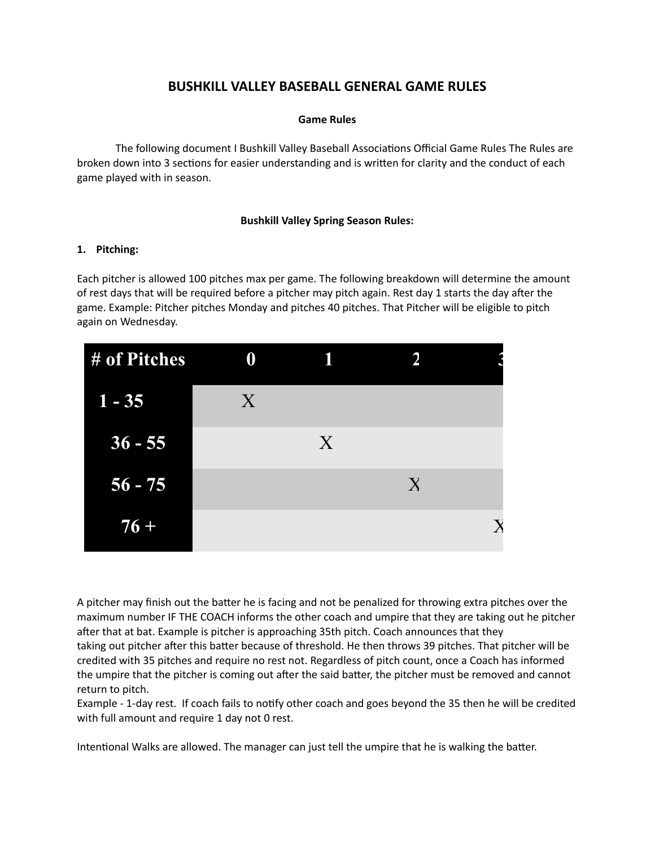# **BUSHKILL VALLEY BASEBALL GENERAL GAME RULES**

### **Game Rules**

The following document I Bushkill Valley Baseball Associations Official Game Rules The Rules are broken down into 3 sections for easier understanding and is written for clarity and the conduct of each game played with in season.

# **Bushkill Valley Spring Season Rules:**

#### **1. Pitching:**

Each pitcher is allowed 100 pitches max per game. The following breakdown will determine the amount of rest days that will be required before a pitcher may pitch again. Rest day 1 starts the day after the game. Example: Pitcher pitches Monday and pitches 40 pitches. That Pitcher will be eligible to pitch again on Wednesday.

| # of Pitches | 0                |   |              |  |
|--------------|------------------|---|--------------|--|
| $1 - 35$     | $\boldsymbol{X}$ |   |              |  |
| $36 - 55$    |                  | X |              |  |
| $56 - 75$    |                  |   | $\mathbf{X}$ |  |
| $76 +$       |                  |   |              |  |

A pitcher may finish out the batter he is facing and not be penalized for throwing extra pitches over the maximum number IF THE COACH informs the other coach and umpire that they are taking out he pitcher after that at bat. Example is pitcher is approaching 35th pitch. Coach announces that they taking out pitcher after this batter because of threshold. He then throws 39 pitches. That pitcher will be credited with 35 pitches and require no rest not. Regardless of pitch count, once a Coach has informed the umpire that the pitcher is coming out after the said batter, the pitcher must be removed and cannot return to pitch.

Example - 1-day rest. If coach fails to notify other coach and goes beyond the 35 then he will be credited with full amount and require 1 day not 0 rest.

Intentional Walks are allowed. The manager can just tell the umpire that he is walking the batter.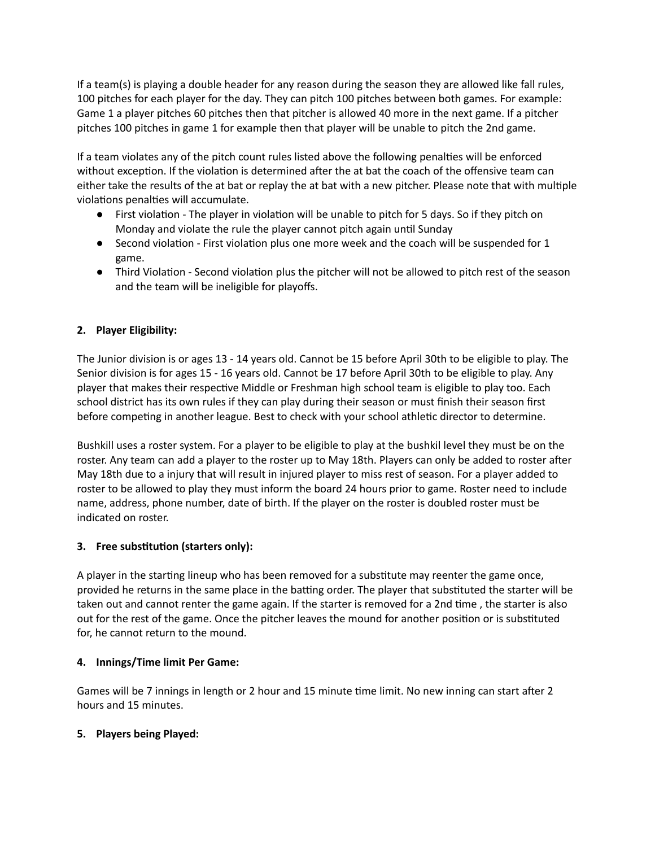If a team(s) is playing a double header for any reason during the season they are allowed like fall rules, 100 pitches for each player for the day. They can pitch 100 pitches between both games. For example: Game 1 a player pitches 60 pitches then that pitcher is allowed 40 more in the next game. If a pitcher pitches 100 pitches in game 1 for example then that player will be unable to pitch the 2nd game.

If a team violates any of the pitch count rules listed above the following penalties will be enforced without exception. If the violation is determined after the at bat the coach of the offensive team can either take the results of the at bat or replay the at bat with a new pitcher. Please note that with multiple violations penalties will accumulate.

- $\bullet$  First violation The player in violation will be unable to pitch for 5 days. So if they pitch on Monday and violate the rule the player cannot pitch again until Sunday
- Second violation First violation plus one more week and the coach will be suspended for 1 game.
- Third Violation Second violation plus the pitcher will not be allowed to pitch rest of the season and the team will be ineligible for playoffs.

# **2. Player Eligibility:**

The Junior division is or ages 13 - 14 years old. Cannot be 15 before April 30th to be eligible to play. The Senior division is for ages 15 - 16 years old. Cannot be 17 before April 30th to be eligible to play. Any player that makes their respective Middle or Freshman high school team is eligible to play too. Each school district has its own rules if they can play during their season or must finish their season first before competing in another league. Best to check with your school athletic director to determine.

Bushkill uses a roster system. For a player to be eligible to play at the bushkil level they must be on the roster. Any team can add a player to the roster up to May 18th. Players can only be added to roster after May 18th due to a injury that will result in injured player to miss rest of season. For a player added to roster to be allowed to play they must inform the board 24 hours prior to game. Roster need to include name, address, phone number, date of birth. If the player on the roster is doubled roster must be indicated on roster.

# **3.** Free substitution (starters only):

A player in the starting lineup who has been removed for a substitute may reenter the game once, provided he returns in the same place in the batting order. The player that substituted the starter will be taken out and cannot renter the game again. If the starter is removed for a 2nd time, the starter is also out for the rest of the game. Once the pitcher leaves the mound for another position or is substituted for, he cannot return to the mound.

# **4. Innings/Time limit Per Game:**

Games will be 7 innings in length or 2 hour and 15 minute time limit. No new inning can start after 2 hours and 15 minutes.

# **5. Players being Played:**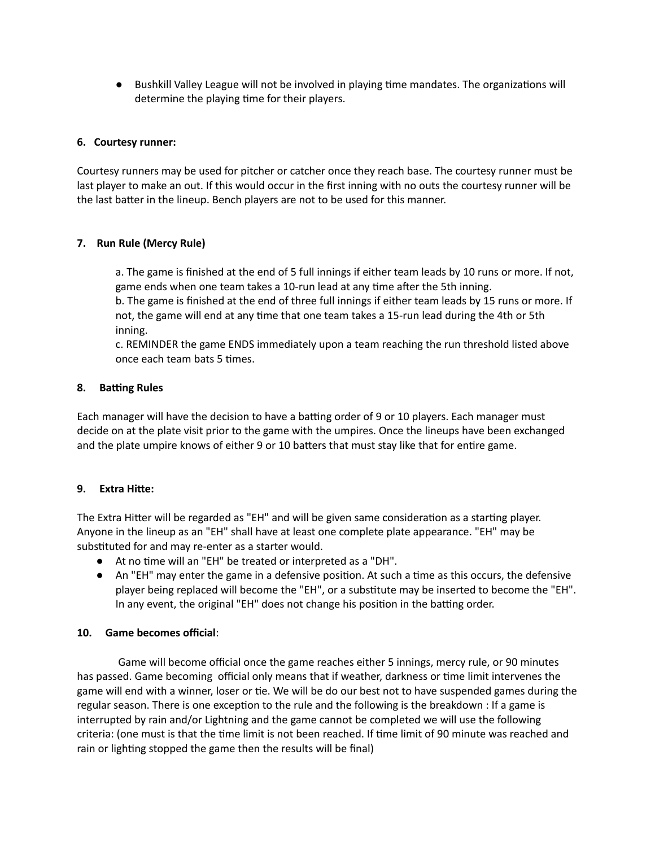● Bushkill Valley League will not be involved in playing time mandates. The organizations will determine the playing time for their players.

# **6. Courtesy runner:**

Courtesy runners may be used for pitcher or catcher once they reach base. The courtesy runner must be last player to make an out. If this would occur in the first inning with no outs the courtesy runner will be the last batter in the lineup. Bench players are not to be used for this manner.

# **7. Run Rule (Mercy Rule)**

a. The game is finished at the end of 5 full innings if either team leads by 10 runs or more. If not, game ends when one team takes a 10-run lead at any time after the 5th inning.

b. The game is finished at the end of three full innings if either team leads by 15 runs or more. If not, the game will end at any time that one team takes a 15-run lead during the 4th or 5th inning.

c. REMINDER the game ENDS immediately upon a team reaching the run threshold listed above once each team bats 5 times.

# 8. **Batting Rules**

Each manager will have the decision to have a batting order of 9 or 10 players. Each manager must decide on at the plate visit prior to the game with the umpires. Once the lineups have been exchanged and the plate umpire knows of either 9 or 10 batters that must stay like that for entire game.

# **9. Extra Hie:**

The Extra Hitter will be regarded as "EH" and will be given same consideration as a starting player. Anyone in the lineup as an "EH" shall have at least one complete plate appearance. "EH" may be substituted for and may re-enter as a starter would.

- At no time will an "EH" be treated or interpreted as a "DH".
- An "EH" may enter the game in a defensive position. At such a time as this occurs, the defensive player being replaced will become the "EH", or a substitute may be inserted to become the "EH". In any event, the original "EH" does not change his position in the batting order.

# **10. Game becomes official**:

Game will become official once the game reaches either 5 innings, mercy rule, or 90 minutes has passed. Game becoming official only means that if weather, darkness or time limit intervenes the game will end with a winner, loser or tie. We will be do our best not to have suspended games during the regular season. There is one exception to the rule and the following is the breakdown : If a game is interrupted by rain and/or Lightning and the game cannot be completed we will use the following criteria: (one must is that the time limit is not been reached. If time limit of 90 minute was reached and rain or lighting stopped the game then the results will be final)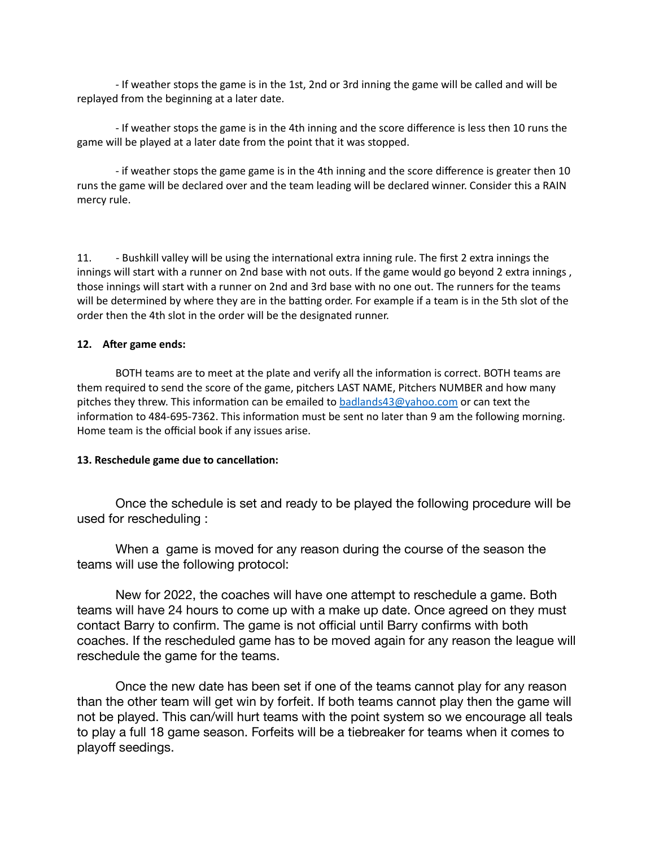- If weather stops the game is in the 1st, 2nd or 3rd inning the game will be called and will be replayed from the beginning at a later date.

- If weather stops the game is in the 4th inning and the score difference is less then 10 runs the game will be played at a later date from the point that it was stopped.

- if weather stops the game game is in the 4th inning and the score difference is greater then 10 runs the game will be declared over and the team leading will be declared winner. Consider this a RAIN mercy rule.

11. - Bushkill valley will be using the international extra inning rule. The first 2 extra innings the innings will start with a runner on 2nd base with not outs. If the game would go beyond 2 extra innings , those innings will start with a runner on 2nd and 3rd base with no one out. The runners for the teams will be determined by where they are in the batting order. For example if a team is in the 5th slot of the order then the 4th slot in the order will be the designated runner.

#### **12.** After game ends:

BOTH teams are to meet at the plate and verify all the information is correct. BOTH teams are them required to send the score of the game, pitchers LAST NAME, Pitchers NUMBER and how many pitches they threw. This information can be emailed to [badlands43@yahoo.com](mailto:badlands43@yahoo.com) or can text the information to 484-695-7362. This information must be sent no later than 9 am the following morning. Home team is the official book if any issues arise.

#### **13.** Reschedule game due to cancellation:

Once the schedule is set and ready to be played the following procedure will be used for rescheduling :

When a game is moved for any reason during the course of the season the teams will use the following protocol:

New for 2022, the coaches will have one attempt to reschedule a game. Both teams will have 24 hours to come up with a make up date. Once agreed on they must contact Barry to confirm. The game is not official until Barry confirms with both coaches. If the rescheduled game has to be moved again for any reason the league will reschedule the game for the teams.

Once the new date has been set if one of the teams cannot play for any reason than the other team will get win by forfeit. If both teams cannot play then the game will not be played. This can/will hurt teams with the point system so we encourage all teals to play a full 18 game season. Forfeits will be a tiebreaker for teams when it comes to playoff seedings.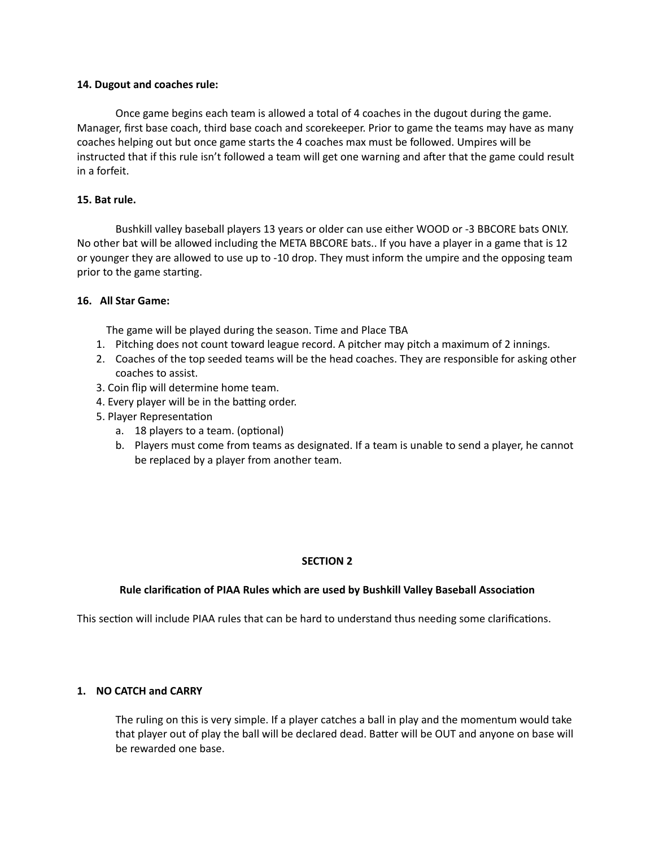#### **14. Dugout and coaches rule:**

Once game begins each team is allowed a total of 4 coaches in the dugout during the game. Manager, first base coach, third base coach and scorekeeper. Prior to game the teams may have as many coaches helping out but once game starts the 4 coaches max must be followed. Umpires will be instructed that if this rule isn't followed a team will get one warning and after that the game could result in a forfeit.

# **15. Bat rule.**

Bushkill valley baseball players 13 years or older can use either WOOD or -3 BBCORE bats ONLY. No other bat will be allowed including the META BBCORE bats.. If you have a player in a game that is 12 or younger they are allowed to use up to -10 drop. They must inform the umpire and the opposing team prior to the game starting.

### **16. All Star Game:**

The game will be played during the season. Time and Place TBA

- 1. Pitching does not count toward league record. A pitcher may pitch a maximum of 2 innings.
- 2. Coaches of the top seeded teams will be the head coaches. They are responsible for asking other coaches to assist.
- 3. Coin flip will determine home team.
- 4. Every player will be in the batting order.
- 5. Player Representation
	- a. 18 players to a team. (optional)
	- b. Players must come from teams as designated. If a team is unable to send a player, he cannot be replaced by a player from another team.

# **SECTION 2**

#### **Rule clarification of PIAA Rules which are used by Bushkill Valley Baseball Association**

This section will include PIAA rules that can be hard to understand thus needing some clarifications.

# **1. NO CATCH and CARRY**

The ruling on this is very simple. If a player catches a ball in play and the momentum would take that player out of play the ball will be declared dead. Batter will be OUT and anyone on base will be rewarded one base.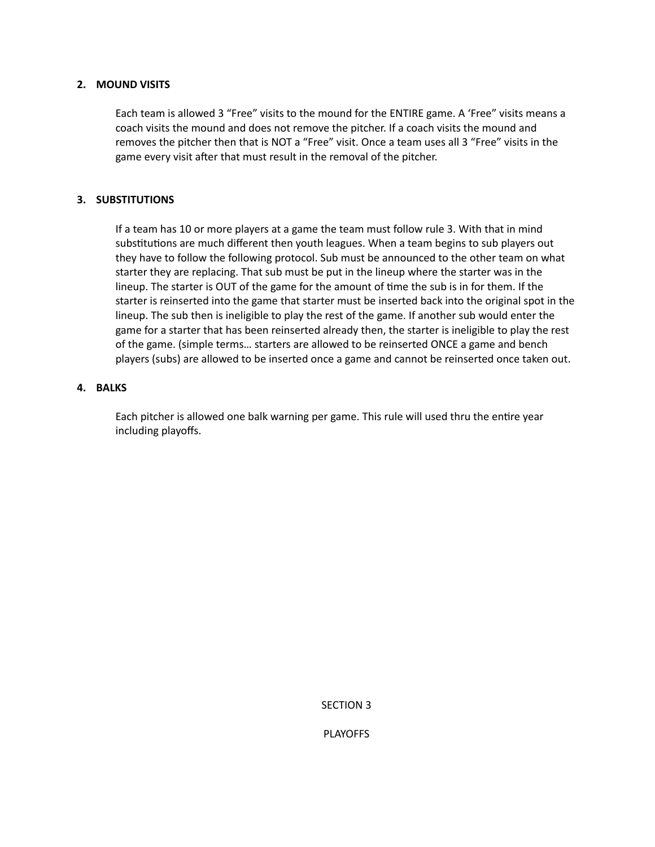### **2. MOUND VISITS**

Each team is allowed 3 "Free" visits to the mound for the ENTIRE game. A 'Free" visits means a coach visits the mound and does not remove the pitcher. If a coach visits the mound and removes the pitcher then that is NOT a "Free" visit. Once a team uses all 3 "Free" visits in the game every visit after that must result in the removal of the pitcher.

# **3. SUBSTITUTIONS**

If a team has 10 or more players at a game the team must follow rule 3. With that in mind substitutions are much different then youth leagues. When a team begins to sub players out they have to follow the following protocol. Sub must be announced to the other team on what starter they are replacing. That sub must be put in the lineup where the starter was in the lineup. The starter is OUT of the game for the amount of time the sub is in for them. If the starter is reinserted into the game that starter must be inserted back into the original spot in the lineup. The sub then is ineligible to play the rest of the game. If another sub would enter the game for a starter that has been reinserted already then, the starter is ineligible to play the rest of the game. (simple terms… starters are allowed to be reinserted ONCE a game and bench players (subs) are allowed to be inserted once a game and cannot be reinserted once taken out.

### **4. BALKS**

Each pitcher is allowed one balk warning per game. This rule will used thru the entire year including playoffs.

SECTION 3

PLAYOFFS